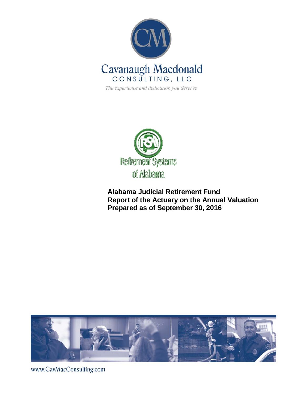

The experience and dedication you deserve



**Alabama Judicial Retirement Fund Report of the Actuary on the Annual Valuation Prepared as of September 30, 2016**



www.CavMacConsulting.com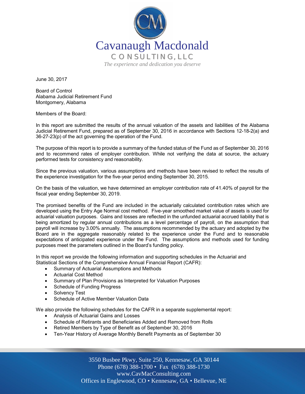

June 30, 2017

Board of Control Alabama Judicial Retirement Fund Montgomery, Alabama

Members of the Board:

In this report are submitted the results of the annual valuation of the assets and liabilities of the Alabama Judicial Retirement Fund, prepared as of September 30, 2016 in accordance with Sections 12-18-2(a) and 36-27-23(p) of the act governing the operation of the Fund.

The purpose of this report is to provide a summary of the funded status of the Fund as of September 30, 2016 and to recommend rates of employer contribution. While not verifying the data at source, the actuary performed tests for consistency and reasonability.

Since the previous valuation, various assumptions and methods have been revised to reflect the results of the experience investigation for the five-year period ending September 30, 2015.

On the basis of the valuation, we have determined an employer contribution rate of 41.40% of payroll for the fiscal year ending September 30, 2019.

The promised benefits of the Fund are included in the actuarially calculated contribution rates which are developed using the Entry Age Normal cost method. Five-year smoothed market value of assets is used for actuarial valuation purposes. Gains and losses are reflected in the unfunded actuarial accrued liability that is being amortized by regular annual contributions as a level percentage of payroll, on the assumption that payroll will increase by 3.00% annually. The assumptions recommended by the actuary and adopted by the Board are in the aggregate reasonably related to the experience under the Fund and to reasonable expectations of anticipated experience under the Fund. The assumptions and methods used for funding purposes meet the parameters outlined in the Board's funding policy.

In this report we provide the following information and supporting schedules in the Actuarial and Statistical Sections of the Comprehensive Annual Financial Report (CAFR):

- Summary of Actuarial Assumptions and Methods
- Actuarial Cost Method
- Summary of Plan Provisions as Interpreted for Valuation Purposes
- Schedule of Funding Progress
- Solvency Test
- Schedule of Active Member Valuation Data

We also provide the following schedules for the CAFR in a separate supplemental report:

- Analysis of Actuarial Gains and Losses
- Schedule of Retirants and Beneficiaries Added and Removed from Rolls
- Retired Members by Type of Benefit as of September 30, 2016
- Ten-Year History of Average Monthly Benefit Payments as of September 30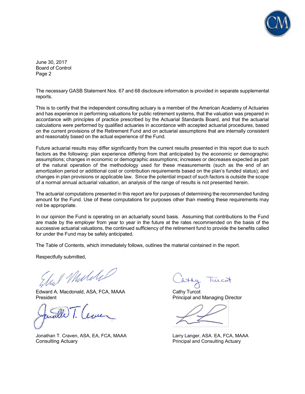

June 30, 2017 Board of Control Page 2

The necessary GASB Statement Nos. 67 and 68 disclosure information is provided in separate supplemental reports.

This is to certify that the independent consulting actuary is a member of the American Academy of Actuaries and has experience in performing valuations for public retirement systems, that the valuation was prepared in accordance with principles of practice prescribed by the Actuarial Standards Board, and that the actuarial calculations were performed by qualified actuaries in accordance with accepted actuarial procedures, based on the current provisions of the Retirement Fund and on actuarial assumptions that are internally consistent and reasonably based on the actual experience of the Fund.

Future actuarial results may differ significantly from the current results presented in this report due to such factors as the following: plan experience differing from that anticipated by the economic or demographic assumptions; changes in economic or demographic assumptions; increases or decreases expected as part of the natural operation of the methodology used for these measurements (such as the end of an amortization period or additional cost or contribution requirements based on the plan's funded status); and changes in plan provisions or applicable law. Since the potential impact of such factors is outside the scope of a normal annual actuarial valuation, an analysis of the range of results is not presented herein.

The actuarial computations presented in this report are for purposes of determining the recommended funding amount for the Fund. Use of these computations for purposes other than meeting these requirements may not be appropriate.

In our opinion the Fund is operating on an actuarially sound basis. Assuming that contributions to the Fund are made by the employer from year to year in the future at the rates recommended on the basis of the successive actuarial valuations, the continued sufficiency of the retirement fund to provide the benefits called for under the Fund may be safely anticipated.

The Table of Contents, which immediately follows, outlines the material contained in the report.

Respectfully submitted,

I Muliki

Edward A. Macdonald, ASA, FCA, MAAA Cathy Turcot President **President** Principal and Managing Director

Jonathan T. Craven, ASA, EA, FCA, MAAA Larry Langer, ASA. EA, FCA, MAAA Consulting Actuary Principal and Consulting Actuary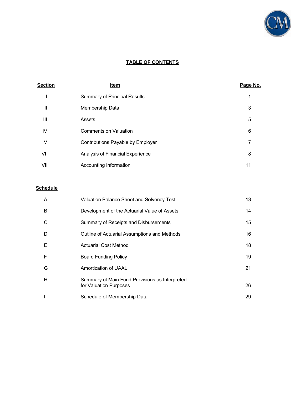

# **TABLE OF CONTENTS**

| <b>Section</b> | Item                                | Page No. |
|----------------|-------------------------------------|----------|
|                | <b>Summary of Principal Results</b> |          |
| Ш              | Membership Data                     | 3        |
| $\mathbf{III}$ | Assets                              | 5        |
| IV             | <b>Comments on Valuation</b>        | 6        |
| V              | Contributions Payable by Employer   |          |
| VI             | Analysis of Financial Experience    | 8        |
| VII            | Accounting Information              | 11       |

# **Schedule**

| A | <b>Valuation Balance Sheet and Solvency Test</b>                         | 13 |
|---|--------------------------------------------------------------------------|----|
| B | Development of the Actuarial Value of Assets                             | 14 |
| C | Summary of Receipts and Disbursements                                    | 15 |
| D | Outline of Actuarial Assumptions and Methods                             | 16 |
| E | <b>Actuarial Cost Method</b>                                             | 18 |
| F | <b>Board Funding Policy</b>                                              | 19 |
| G | Amortization of UAAL                                                     | 21 |
| H | Summary of Main Fund Provisions as Interpreted<br>for Valuation Purposes | 26 |
|   | Schedule of Membership Data                                              | 29 |
|   |                                                                          |    |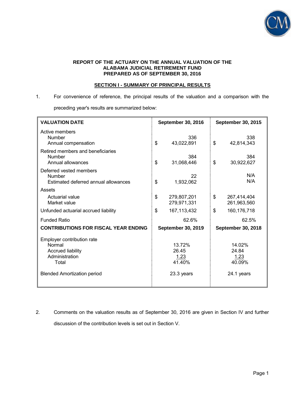

#### **REPORT OF THE ACTUARY ON THE ANNUAL VALUATION OF THE ALABAMA JUDICIAL RETIREMENT FUND PREPARED AS OF SEPTEMBER 30, 2016**

# **SECTION I - SUMMARY OF PRINCIPAL RESULTS**

1. For convenience of reference, the principal results of the valuation and a comparison with the

preceding year's results are summarized below:

| <b>VALUATION DATE</b>                                                                                                             | <b>September 30, 2016</b>                       | <b>September 30, 2015</b>                       |  |
|-----------------------------------------------------------------------------------------------------------------------------------|-------------------------------------------------|-------------------------------------------------|--|
| Active members<br><b>Number</b><br>Annual compensation                                                                            | 336<br>\$<br>43,022,891                         | 338<br>\$<br>42,814,343                         |  |
| Retired members and beneficiaries<br><b>Number</b><br>Annual allowances                                                           | 384<br>\$<br>31,068,446                         | 384<br>\$<br>30,922,627                         |  |
| Deferred vested members<br>Number<br>Estimated deferred annual allowances                                                         | 22<br>\$<br>1,932,062                           | N/A<br>N/A                                      |  |
| Assets                                                                                                                            |                                                 |                                                 |  |
| Actuarial value<br>Market value                                                                                                   | \$<br>279,807,201<br>279,971,331                | \$<br>267,414,404<br>261,963,560                |  |
| Unfunded actuarial accrued liability                                                                                              | \$<br>167, 113, 432                             | $\mathbb{S}$<br>160, 176, 718                   |  |
| <b>Funded Ratio</b>                                                                                                               | 62.6%                                           | 62.5%                                           |  |
| <b>CONTRIBUTIONS FOR FISCAL YEAR ENDING</b>                                                                                       | September 30, 2019                              | <b>September 30, 2018</b>                       |  |
| Employer contribution rate<br>Normal<br><b>Accrued liability</b><br>Administration<br>Total<br><b>Blended Amortization period</b> | 13.72%<br>26.45<br>1.23<br>41.40%<br>23.3 years | 14.02%<br>24.84<br>1.23<br>40.09%<br>24.1 years |  |
|                                                                                                                                   |                                                 |                                                 |  |

2. Comments on the valuation results as of September 30, 2016 are given in Section IV and further discussion of the contribution levels is set out in Section V.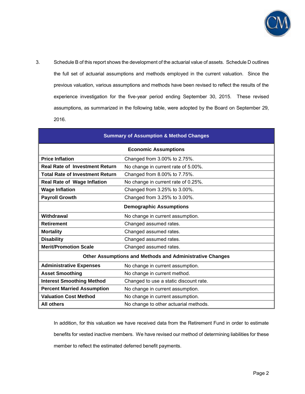

3. Schedule B of this report shows the development of the actuarial value of assets. Schedule D outlines the full set of actuarial assumptions and methods employed in the current valuation. Since the previous valuation, various assumptions and methods have been revised to reflect the results of the experience investigation for the five-year period ending September 30, 2015. These revised assumptions, as summarized in the following table, were adopted by the Board on September 29, 2016.

| <b>Summary of Assumption &amp; Method Changes</b>          |                                                                 |  |  |  |
|------------------------------------------------------------|-----------------------------------------------------------------|--|--|--|
| <b>Economic Assumptions</b>                                |                                                                 |  |  |  |
| <b>Price Inflation</b>                                     | Changed from 3.00% to 2.75%.                                    |  |  |  |
| <b>Real Rate of Investment Return</b>                      | No change in current rate of 5.00%.                             |  |  |  |
| <b>Total Rate of Investment Return</b>                     | Changed from 8.00% to 7.75%.                                    |  |  |  |
| <b>Real Rate of Wage Inflation</b>                         | No change in current rate of 0.25%.                             |  |  |  |
| <b>Wage Inflation</b>                                      | Changed from 3.25% to 3.00%.                                    |  |  |  |
| <b>Payroll Growth</b><br>Changed from 3.25% to 3.00%.      |                                                                 |  |  |  |
| <b>Demographic Assumptions</b>                             |                                                                 |  |  |  |
| Withdrawal                                                 | No change in current assumption.                                |  |  |  |
| <b>Retirement</b>                                          | Changed assumed rates.                                          |  |  |  |
| <b>Mortality</b>                                           | Changed assumed rates.                                          |  |  |  |
| <b>Disability</b>                                          | Changed assumed rates.                                          |  |  |  |
| <b>Merit/Promotion Scale</b>                               | Changed assumed rates.                                          |  |  |  |
|                                                            | <b>Other Assumptions and Methods and Administrative Changes</b> |  |  |  |
| <b>Administrative Expenses</b>                             | No change in current assumption.                                |  |  |  |
| <b>Asset Smoothing</b>                                     | No change in current method.                                    |  |  |  |
| <b>Interest Smoothing Method</b>                           | Changed to use a static discount rate.                          |  |  |  |
| <b>Percent Married Assumption</b>                          | No change in current assumption.                                |  |  |  |
| <b>Valuation Cost Method</b>                               | No change in current assumption.                                |  |  |  |
| <b>All others</b><br>No change to other actuarial methods. |                                                                 |  |  |  |

In addition, for this valuation we have received data from the Retirement Fund in order to estimate benefits for vested inactive members. We have revised our method of determining liabilities for these member to reflect the estimated deferred benefit payments.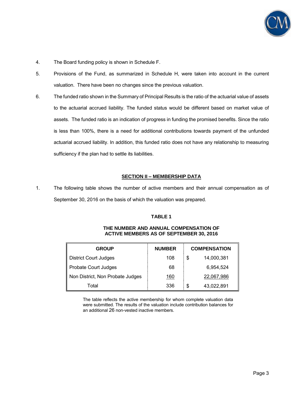

- 4. The Board funding policy is shown in Schedule F.
- 5. Provisions of the Fund, as summarized in Schedule H, were taken into account in the current valuation. There have been no changes since the previous valuation.
- 6. The funded ratio shown in the Summary of Principal Results is the ratio of the actuarial value of assets to the actuarial accrued liability. The funded status would be different based on market value of assets. The funded ratio is an indication of progress in funding the promised benefits. Since the ratio is less than 100%, there is a need for additional contributions towards payment of the unfunded actuarial accrued liability. In addition, this funded ratio does not have any relationship to measuring sufficiency if the plan had to settle its liabilities.

#### **SECTION II – MEMBERSHIP DATA**

1. The following table shows the number of active members and their annual compensation as of September 30, 2016 on the basis of which the valuation was prepared.

#### **TABLE 1**

| <b>GROUP</b>                     | <b>NUMBER</b> | <b>COMPENSATION</b> |            |
|----------------------------------|---------------|---------------------|------------|
| <b>District Court Judges</b>     | 108           | \$                  | 14,000,381 |
| Probate Court Judges             | 68            |                     | 6,954,524  |
| Non District, Non Probate Judges | 160           |                     | 22,067,986 |
| Total                            | 336           | \$                  | 43,022,891 |

#### **THE NUMBER AND ANNUAL COMPENSATION OF ACTIVE MEMBERS AS OF SEPTEMBER 30, 2016**

The table reflects the active membership for whom complete valuation data were submitted. The results of the valuation include contribution balances for an additional 26 non-vested inactive members.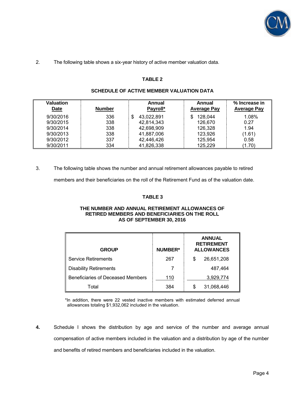

#### 2. The following table shows a six-year history of active member valuation data.

### **TABLE 2**

| Valuation<br><b>Date</b> | <b>Number</b> | Annual<br>Payroll* | Annual<br><b>Average Pay</b> | % Increase in<br><b>Average Pay</b> |
|--------------------------|---------------|--------------------|------------------------------|-------------------------------------|
| 9/30/2016                | 336           | 43,022,891<br>\$   | 128,044                      | 1.08%                               |
| 9/30/2015                | 338           | 42,814,343         | 126,670                      | 0.27                                |
| 9/30/2014                | 338           | 42,698,909         | 126,328                      | 1.94                                |
| 9/30/2013                | 338           | 41,887,006         | 123,926                      | (1.61)                              |
| 9/30/2012                | 337           | 42,446,426         | 125,954                      | 0.58                                |
| 9/30/2011                | 334           | 41,826,338         | 125,229                      | (1.70)                              |

#### **SCHEDULE OF ACTIVE MEMBER VALUATION DATA**

3. The following table shows the number and annual retirement allowances payable to retired

members and their beneficiaries on the roll of the Retirement Fund as of the valuation date.

# **TABLE 3**

#### **THE NUMBER AND ANNUAL RETIREMENT ALLOWANCES OF RETIRED MEMBERS AND BENEFICIARIES ON THE ROLL AS OF SEPTEMBER 30, 2016**

| <b>NUMBER*</b><br><b>GROUP</b>    |     |    | <b>ANNUAL</b><br><b>RETIREMENT</b><br><b>ALLOWANCES</b> |
|-----------------------------------|-----|----|---------------------------------------------------------|
| Service Retirements               | 267 | \$ | 26,651,208                                              |
| <b>Disability Retirements</b>     |     |    | 487,464                                                 |
| Beneficiaries of Deceased Members | 110 |    | 3,929,774                                               |
| Total                             | 384 | S  | 31,068,446                                              |

\*In addition, there were 22 vested inactive members with estimated deferred annual allowances totaling \$1,932,062 included in the valuation.

**4.** Schedule I shows the distribution by age and service of the number and average annual compensation of active members included in the valuation and a distribution by age of the number and benefits of retired members and beneficiaries included in the valuation.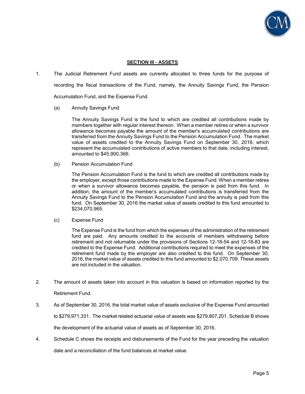

### **SECTION III - ASSETS**

- 1. The Judicial Retirement Fund assets are currently allocated to three funds for the purpose of recording the fiscal transactions of the Fund, namely, the Annuity Savings Fund, the Pension Accumulation Fund, and the Expense Fund.
	- (a) Annuity Savings Fund

 The Annuity Savings Fund is the fund to which are credited all contributions made by members together with regular interest thereon. When a member retires or when a survivor allowance becomes payable the amount of the member's accumulated contributions are transferred from the Annuity Savings Fund to the Pension Accumulation Fund. The market value of assets credited to the Annuity Savings Fund on September 30, 2016, which represent the accumulated contributions of active members to that date, including interest, amounted to \$45,900,366.

(b) Pension Accumulation Fund

 The Pension Accumulation Fund is the fund to which are credited all contributions made by the employer, except those contributions made to the Expense Fund. When a member retires or when a survivor allowance becomes payable, the pension is paid from this fund. In addition, the amount of the member's accumulated contributions is transferred from the Annuity Savings Fund to the Pension Accumulation Fund and the annuity is paid from this fund. On September 30, 2016 the market value of assets credited to this fund amounted to \$234,070,965.

(c) Expense Fund

 The Expense Fund is the fund from which the expenses of the administration of the retirement fund are paid. Any amounts credited to the accounts of members withdrawing before retirement and not returnable under the provisions of Sections 12-18-54 and 12-18-83 are credited to the Expense Fund. Additional contributions required to meet the expenses of the retirement fund made by the employer are also credited to this fund. On September 30, 2016, the market value of assets credited to this fund amounted to \$2,070,709. These assets are not included in the valuation.

- 2. The amount of assets taken into account in this valuation is based on information reported by the Retirement Fund.
- 3. As of September 30, 2016, the total market value of assets exclusive of the Expense Fund amounted to \$279,971,331. The market related actuarial value of assets was \$279,807,201. Schedule B shows the development of the actuarial value of assets as of September 30, 2016.
- 4. Schedule C shows the receipts and disbursements of the Fund for the year preceding the valuation date and a reconciliation of the fund balances at market value.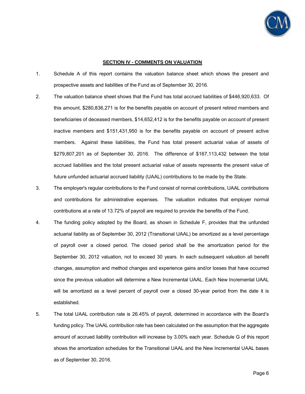

#### **SECTION IV - COMMENTS ON VALUATION**

- 1. Schedule A of this report contains the valuation balance sheet which shows the present and prospective assets and liabilities of the Fund as of September 30, 2016.
- 2. The valuation balance sheet shows that the Fund has total accrued liabilities of \$446,920,633. Of this amount, \$280,836,271 is for the benefits payable on account of present retired members and beneficiaries of deceased members, \$14,652,412 is for the benefits payable on account of present inactive members and \$151,431,950 is for the benefits payable on account of present active members. Against these liabilities, the Fund has total present actuarial value of assets of \$279,807,201 as of September 30, 2016. The difference of \$167,113,432 between the total accrued liabilities and the total present actuarial value of assets represents the present value of future unfunded actuarial accrued liability (UAAL) contributions to be made by the State.
- 3. The employer's regular contributions to the Fund consist of normal contributions, UAAL contributions and contributions for administrative expenses. The valuation indicates that employer normal contributions at a rate of 13.72% of payroll are required to provide the benefits of the Fund.
- 4. The funding policy adopted by the Board, as shown in Schedule F, provides that the unfunded actuarial liability as of September 30, 2012 (Transitional UAAL) be amortized as a level percentage of payroll over a closed period. The closed period shall be the amortization period for the September 30, 2012 valuation, not to exceed 30 years. In each subsequent valuation all benefit changes, assumption and method changes and experience gains and/or losses that have occurred since the previous valuation will determine a New Incremental UAAL. Each New Incremental UAAL will be amortized as a level percent of payroll over a closed 30-year period from the date it is established.
- 5. The total UAAL contribution rate is 26.45% of payroll, determined in accordance with the Board's funding policy. The UAAL contribution rate has been calculated on the assumption that the aggregate amount of accrued liability contribution will increase by 3.00% each year. Schedule G of this report shows the amortization schedules for the Transitional UAAL and the New Incremental UAAL bases as of September 30, 2016.

Page 6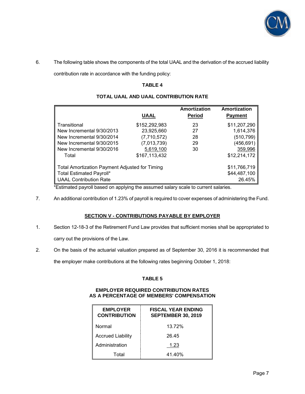

6. The following table shows the components of the total UAAL and the derivation of the accrued liability

contribution rate in accordance with the funding policy:

## **TABLE 4**

|                                                       |               | Amortization  | Amortization   |
|-------------------------------------------------------|---------------|---------------|----------------|
|                                                       | <b>UAAL</b>   | <b>Period</b> | <b>Payment</b> |
| Transitional                                          | \$152,292,983 | 23            | \$11,207,290   |
| New Incremental 9/30/2013                             | 23,925,660    | 27            | 1,614,376      |
| New Incremental 9/30/2014                             | (7,710,572)   | 28            | (510,799)      |
| New Incremental 9/30/2015                             | (7,013,739)   | 29            | (456,691)      |
| New Incremental 9/30/2016                             | 5,619,100     | 30            | 359,996        |
| Total                                                 | \$167,113,432 |               | \$12,214,172   |
| <b>Total Amortization Payment Adjusted for Timing</b> |               |               | \$11,766,719   |
| Total Estimated Payroll*                              |               |               | \$44,487,100   |
| <b>UAAL Contribution Rate</b>                         |               |               | 26.45%         |

# **TOTAL UAAL AND UAAL CONTRIBUTION RATE**

\*Estimated payroll based on applying the assumed salary scale to current salaries.

7. An additional contribution of 1.23% of payroll is required to cover expenses of administering the Fund.

### **SECTION V - CONTRIBUTIONS PAYABLE BY EMPLOYER**

- 1. Section 12-18-3 of the Retirement Fund Law provides that sufficient monies shall be appropriated to carry out the provisions of the Law.
- 2. On the basis of the actuarial valuation prepared as of September 30, 2016 it is recommended that

the employer make contributions at the following rates beginning October 1, 2018:

### **TABLE 5**

# **EMPLOYER REQUIRED CONTRIBUTION RATES AS A PERCENTAGE OF MEMBERS' COMPENSATION**

| <b>EMPLOYER</b><br><b>CONTRIBUTION</b> | <b>FISCAL YEAR ENDING</b><br><b>SEPTEMBER 30, 2019</b> |
|----------------------------------------|--------------------------------------------------------|
| Normal                                 | 13.72%                                                 |
| <b>Accrued Liability</b>               | 26.45                                                  |
| Administration                         | 1.23                                                   |
| Total                                  | 41.40%                                                 |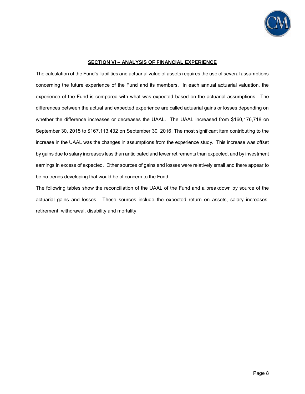

#### **SECTION VI – ANALYSIS OF FINANCIAL EXPERIENCE**

The calculation of the Fund's liabilities and actuarial value of assets requires the use of several assumptions concerning the future experience of the Fund and its members. In each annual actuarial valuation, the experience of the Fund is compared with what was expected based on the actuarial assumptions. The differences between the actual and expected experience are called actuarial gains or losses depending on whether the difference increases or decreases the UAAL. The UAAL increased from \$160,176,718 on September 30, 2015 to \$167,113,432 on September 30, 2016. The most significant item contributing to the increase in the UAAL was the changes in assumptions from the experience study. This increase was offset by gains due to salary increases less than anticipated and fewer retirements than expected, and by investment earnings in excess of expected. Other sources of gains and losses were relatively small and there appear to be no trends developing that would be of concern to the Fund.

The following tables show the reconciliation of the UAAL of the Fund and a breakdown by source of the actuarial gains and losses. These sources include the expected return on assets, salary increases, retirement, withdrawal, disability and mortality.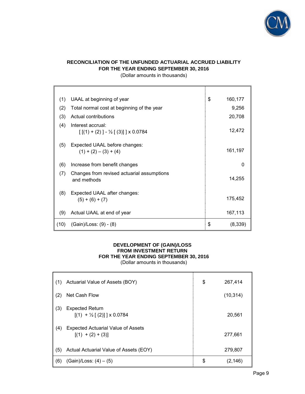

# **RECONCILIATION OF THE UNFUNDED ACTUARIAL ACCRUED LIABILITY FOR THE YEAR ENDING SEPTEMBER 30, 2016**

(Dollar amounts in thousands)

| (1)  | UAAL at beginning of year                                             | \$<br>160,177 |
|------|-----------------------------------------------------------------------|---------------|
| (2)  | Total normal cost at beginning of the year                            | 9,256         |
| (3)  | Actual contributions                                                  | 20,708        |
| (4)  | Interest accrual:<br>$[[(1) + (2)] - \frac{1}{2}[(3)]] \times 0.0784$ | 12,472        |
| (5)  | Expected UAAL before changes:<br>$(1) + (2) - (3) + (4)$              | 161,197       |
| (6)  | Increase from benefit changes                                         | 0             |
| (7)  | Changes from revised actuarial assumptions<br>and methods             | 14,255        |
| (8)  | Expected UAAL after changes:<br>$(5) + (6) + (7)$                     | 175,452       |
| (9)  | Actual UAAL at end of year                                            | 167,113       |
| (10) | (Gain)/Loss: (9) - (8)                                                | \$<br>(8,339) |

# **DEVELOPMENT OF (GAIN)/LOSS FROM INVESTMENT RETURN FOR THE YEAR ENDING SEPTEMBER 30, 2016**

(Dollar amounts in thousands)

| (1) | Actuarial Value of Assets (BOY)                                  | \$<br>267,414  |
|-----|------------------------------------------------------------------|----------------|
| (2) | Net Cash Flow                                                    | (10, 314)      |
| (3) | <b>Expected Return</b><br>$[(1) + \frac{1}{2}[(2)]$   x 0.0784   | 20,561         |
| (4) | <b>Expected Actuarial Value of Assets</b><br>$[(1) + (2) + (3)]$ | 277,661        |
| (5) | Actual Actuarial Value of Assets (EOY)                           | 279,807        |
| (6) | $(Gain)/Loss: (4) - (5)$                                         | \$<br>(2, 146) |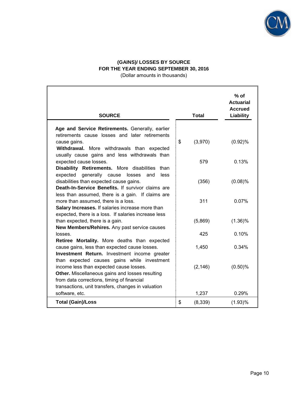

# **(GAINS)/ LOSSES BY SOURCE FOR THE YEAR ENDING SEPTEMBER 30, 2016**

(Dollar amounts in thousands)

|                                                                                                                                                                                                                  |               | $%$ of<br><b>Actuarial</b><br><b>Accrued</b> |
|------------------------------------------------------------------------------------------------------------------------------------------------------------------------------------------------------------------|---------------|----------------------------------------------|
| <b>SOURCE</b>                                                                                                                                                                                                    | <b>Total</b>  | Liability                                    |
| Age and Service Retirements. Generally, earlier<br>retirements cause losses and later retirements<br>cause gains.<br>Withdrawal. More withdrawals than expected<br>usually cause gains and less withdrawals than | \$<br>(3,970) | (0.92)%                                      |
| expected cause losses.<br>Disability Retirements. More disabilities<br>than                                                                                                                                      | 579           | 0.13%                                        |
| expected<br>generally cause<br>losses<br>and<br>less<br>disabilities than expected cause gains.<br>Death-In-Service Benefits. If survivor claims are                                                             | (356)         | (0.08)%                                      |
| less than assumed, there is a gain. If claims are<br>more than assumed, there is a loss.<br>Salary Increases. If salaries increase more than<br>expected, there is a loss. If salaries increase less             | 311           | 0.07%                                        |
| than expected, there is a gain.<br>New Members/Rehires. Any past service causes                                                                                                                                  | (5,869)       | $(1.36)\%$                                   |
| losses.<br>Retiree Mortality. More deaths than expected                                                                                                                                                          | 425           | 0.10%                                        |
| cause gains, less than expected cause losses.<br>Investment Return. Investment income greater<br>than expected causes gains while investment                                                                     | 1,450         | 0.34%                                        |
| income less than expected cause losses.<br>Other. Miscellaneous gains and losses resulting<br>from data corrections, timing of financial<br>transactions, unit transfers, changes in valuation                   | (2, 146)      | $(0.50)\%$                                   |
| software, etc.                                                                                                                                                                                                   | 1,237         | 0.29%                                        |
| <b>Total (Gain)/Loss</b>                                                                                                                                                                                         | \$<br>(8,339) | (1.93)%                                      |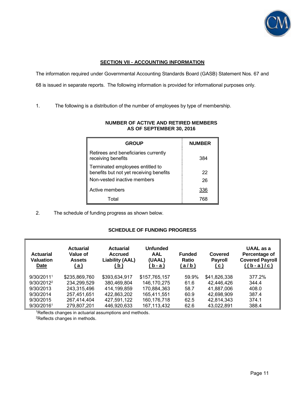

# **SECTION VII - ACCOUNTING INFORMATION**

The information required under Governmental Accounting Standards Board (GASB) Statement Nos. 67 and

68 is issued in separate reports. The following information is provided for informational purposes only.

1. The following is a distribution of the number of employees by type of membership.

| <b>GROUP</b>                                                                | <b>NUMBER</b> |
|-----------------------------------------------------------------------------|---------------|
| Retirees and beneficiaries currently<br>receiving benefits                  | 384           |
| Terminated employees entitled to<br>benefits but not yet receiving benefits | 22            |
| Non-vested inactive members                                                 | 26            |
| Active members                                                              | 336           |
| Total                                                                       | 768           |

# **NUMBER OF ACTIVE AND RETIRED MEMBERS AS OF SEPTEMBER 30, 2016**

2. The schedule of funding progress as shown below.

# **SCHEDULE OF FUNDING PROGRESS**

| <b>Actuarial</b><br><b>Valuation</b><br>Date | <b>Actuarial</b><br>Value of<br><b>Assets</b><br><u>( a )</u> | <b>Actuarial</b><br><b>Accrued</b><br><b>Liability (AAL)</b><br>(b) | <b>Unfunded</b><br><b>AAL</b><br>(UAAL)<br>(b-a) | <b>Funded</b><br><b>Ratio</b><br>(a/b) | Covered<br><b>Payroll</b><br>(c) | UAAL as a<br>Percentage of<br>Covered Payroll<br>$((b-a)/c)$ |
|----------------------------------------------|---------------------------------------------------------------|---------------------------------------------------------------------|--------------------------------------------------|----------------------------------------|----------------------------------|--------------------------------------------------------------|
| 9/30/20111                                   | \$235,869,760                                                 | \$393,634,917                                                       | \$157,765,157                                    | 59.9%                                  | \$41,826,338                     | 377.2%                                                       |
| 9/30/2012 <sup>2</sup>                       | 234,299,529                                                   | 380.469.804                                                         | 146,170,275                                      | 61.6                                   | 42,446,426                       | 344.4                                                        |
| 9/30/2013                                    | 243,315,496                                                   | 414,199,859                                                         | 170,884,363                                      | 58.7                                   | 41,887,006                       | 408.0                                                        |
| 9/30/2014                                    | 257,451,651                                                   | 422,863,202                                                         | 165,411,551                                      | 60.9                                   | 42,698,909                       | 387.4                                                        |
| 9/30/2015                                    | 267,414,404                                                   | 427,591,122                                                         | 160,176,718                                      | 62.5                                   | 42,814,343                       | 374.1                                                        |
| 9/30/20161                                   | 279,807,201                                                   | 446,920,633                                                         | 167, 113, 432                                    | 62.6                                   | 43,022,891                       | 388.4                                                        |

1Reflects changes in actuarial assumptions and methods.

2Reflects changes in methods.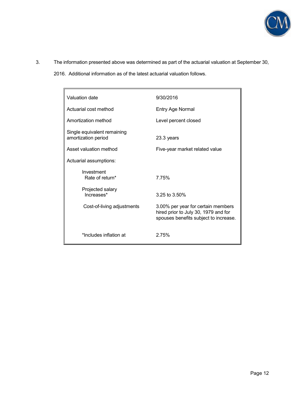

- 3. The information presented above was determined as part of the actuarial valuation at September 30,
	- 2016. Additional information as of the latest actuarial valuation follows.

| Valuation date                                     | 9/30/2016                                                                                                           |
|----------------------------------------------------|---------------------------------------------------------------------------------------------------------------------|
| Actuarial cost method                              | Entry Age Normal                                                                                                    |
| Amortization method                                | Level percent closed                                                                                                |
| Single equivalent remaining<br>amortization period | 23.3 years                                                                                                          |
| Asset valuation method                             | Five-year market related value                                                                                      |
| Actuarial assumptions:                             |                                                                                                                     |
| Investment<br>Rate of return*                      | 7.75%                                                                                                               |
| Projected salary<br>Increases*                     | $3.25$ to $3.50\%$                                                                                                  |
| Cost-of-living adjustments                         | 3.00% per year for certain members<br>hired prior to July 30, 1979 and for<br>spouses benefits subject to increase. |
| *Includes inflation at                             | 2.75%                                                                                                               |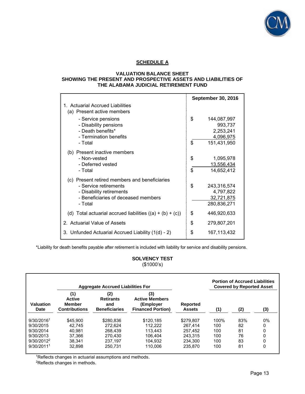

# **SCHEDULE A**

#### **VALUATION BALANCE SHEET SHOWING THE PRESENT AND PROSPECTIVE ASSETS AND LIABILITIES OF THE ALABAMA JUDICIAL RETIREMENT FUND**

|                                                                                                                                                      |          | <b>September 30, 2016</b>                                       |
|------------------------------------------------------------------------------------------------------------------------------------------------------|----------|-----------------------------------------------------------------|
| 1. Actuarial Accrued Liabilities<br>(a) Present active members                                                                                       |          |                                                                 |
| - Service pensions<br>- Disability pensions<br>- Death benefits*<br>- Termination benefits<br>- Total                                                | \$<br>\$ | 144,087,997<br>993,737<br>2,253,241<br>4,096,975<br>151,431,950 |
| (b) Present inactive members<br>- Non-vested<br>- Deferred vested<br>- Total                                                                         | \$<br>\$ | 1,095,978<br>13,556,434<br>14,652,412                           |
| (c) Present retired members and beneficiaries<br>- Service retirements<br>- Disability retirements<br>- Beneficiaries of deceased members<br>- Total | \$       | 243,316,574<br>4,797,822<br>32,721,875<br>280,836,271           |
| (d) Total actuarial accrued liabilities $((a) + (b) + (c))$                                                                                          | \$       | 446,920,633                                                     |
| 2. Actuarial Value of Assets                                                                                                                         | \$       | 279,807,201                                                     |
| 3. Unfunded Actuarial Accrued Liability (1(d) - 2)                                                                                                   | \$       | 167,113,432                                                     |

\*Liability for death benefits payable after retirement is included with liability for service and disability pensions.

**SOLVENCY TEST** (\$1000's)

|                        |                                                               | <b>Aggregate Accrued Liabilities For</b>               |                                                                       |                                  |      | <b>Portion of Accrued Liabilities</b><br><b>Covered by Reported Asset</b> |       |
|------------------------|---------------------------------------------------------------|--------------------------------------------------------|-----------------------------------------------------------------------|----------------------------------|------|---------------------------------------------------------------------------|-------|
| Valuation<br>Date      | (1)<br><b>Active</b><br><b>Member</b><br><b>Contributions</b> | (2)<br><b>Retirants</b><br>and<br><b>Beneficiaries</b> | (3)<br><b>Active Members</b><br>(Employer<br><b>Financed Portion)</b> | <b>Reported</b><br><b>Assets</b> | (1)  | (2)                                                                       | (3)   |
| 9/30/20161             | \$45,900                                                      | \$280.836                                              | \$120.185                                                             | \$279.807                        | 100% | 83%                                                                       | $0\%$ |
| 9/30/2015              | 42.745                                                        | 272.624                                                | 112.222                                                               | 267.414                          | 100  | 82                                                                        | 0     |
| 9/30/2014              | 40.981                                                        | 268.439                                                | 113.443                                                               | 257.452                          | 100  | 81                                                                        | 0     |
| 9/30/2013              | 37.366                                                        | 270.430                                                | 106.404                                                               | 243.315                          | 100  | 76                                                                        | 0     |
| $9/30/2012^2$          | 38.341                                                        | 237.197                                                | 104.932                                                               | 234.300                          | 100  | 83                                                                        |       |
| 9/30/2011 <sup>1</sup> | 32.898                                                        | 250.731                                                | 110.006                                                               | 235,870                          | 100  | 81                                                                        | 0     |

<sup>1</sup>Reflects changes in actuarial assumptions and methods.

2Reflects changes in methods.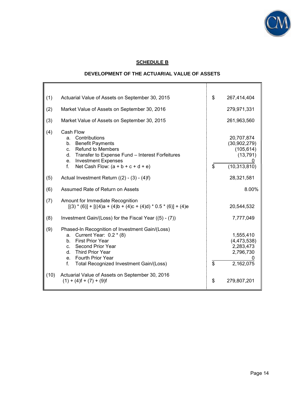

# **SCHEDULE B**

# **DEVELOPMENT OF THE ACTUARIAL VALUE OF ASSETS**

| (1)  | Actuarial Value of Assets on September 30, 2015                                                                                                                                                                                                                | \$           | 267,414,404                                                               |
|------|----------------------------------------------------------------------------------------------------------------------------------------------------------------------------------------------------------------------------------------------------------------|--------------|---------------------------------------------------------------------------|
| (2)  | Market Value of Assets on September 30, 2016                                                                                                                                                                                                                   |              | 279,971,331                                                               |
| (3)  | Market Value of Assets on September 30, 2015                                                                                                                                                                                                                   |              | 261,963,560                                                               |
| (4)  | Cash Flow<br>Contributions<br>a.<br><b>Benefit Payments</b><br>b.<br><b>Refund to Members</b><br>C <sub>1</sub><br>Transfer to Expense Fund - Interest Forfeitures<br>d.<br>e. Investment Expenses<br>Net Cash Flow: $(a + b + c + d + e)$<br>f.               | $\mathbb{S}$ | 20,707,874<br>(30, 902, 279)<br>(105, 614)<br>(13, 791)<br>(10, 313, 810) |
| (5)  | Actual Investment Return $((2) - (3) - (4)f)$                                                                                                                                                                                                                  |              | 28,321,581                                                                |
| (6)  | Assumed Rate of Return on Assets                                                                                                                                                                                                                               |              | 8.00%                                                                     |
| (7)  | Amount for Immediate Recognition<br>$[(3) * (6)] + [((4)a + (4)b + (4)c + (4)d) * 0.5 * (6)] + (4)e$                                                                                                                                                           |              | 20,544,532                                                                |
| (8)  | Investment Gain/(Loss) for the Fiscal Year ((5) - (7))                                                                                                                                                                                                         |              | 7,777,049                                                                 |
| (9)  | Phased-In Recognition of Investment Gain/(Loss)<br>Current Year: $0.2 * (8)$<br>a.<br><b>First Prior Year</b><br>$h_{-}$<br>Second Prior Year<br>C.<br>Third Prior Year<br>d.<br>Fourth Prior Year<br>$e_{1}$<br>Total Recognized Investment Gain/(Loss)<br>f. | $\mathbb{S}$ | 1,555,410<br>(4, 473, 538)<br>2,283,473<br>2,796,730<br>2,162,075         |
| (10) | Actuarial Value of Assets on September 30, 2016<br>$(1) + (4) f + (7) + (9) f$                                                                                                                                                                                 | \$           | 279,807,201                                                               |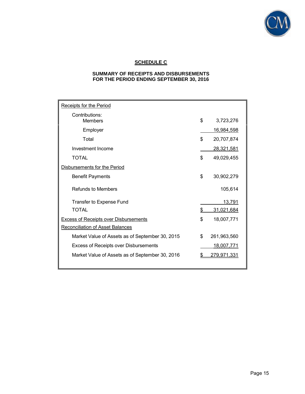

# **SCHEDULE C**

#### **SUMMARY OF RECEIPTS AND DISBURSEMENTS FOR THE PERIOD ENDING SEPTEMBER 30, 2016**

| Receipts for the Period                         |                    |
|-------------------------------------------------|--------------------|
| Contributions:<br><b>Members</b>                | \$<br>3,723,276    |
| Employer                                        | <u>16,984,598</u>  |
| Total                                           | \$<br>20,707,874   |
| Investment Income                               | 28,321,581         |
| <b>TOTAL</b>                                    | \$<br>49,029,455   |
| Disbursements for the Period                    |                    |
| <b>Benefit Payments</b>                         | \$<br>30,902,279   |
| <b>Refunds to Members</b>                       | 105,614            |
| Transfer to Expense Fund                        | 13,791             |
| <b>TOTAL</b>                                    | \$<br>31,021,684   |
| <b>Excess of Receipts over Disbursements</b>    | \$<br>18,007,771   |
| <b>Reconciliation of Asset Balances</b>         |                    |
| Market Value of Assets as of September 30, 2015 | \$<br>261,963,560  |
| <b>Excess of Receipts over Disbursements</b>    | <u>18,007,771</u>  |
| Market Value of Assets as of September 30, 2016 | <u>279,971,331</u> |
|                                                 |                    |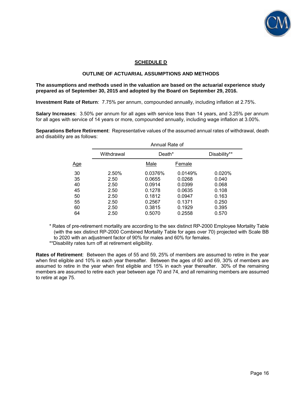

## **SCHEDULE D**

#### **OUTLINE OF ACTUARIAL ASSUMPTIONS AND METHODS**

#### **The assumptions and methods used in the valuation are based on the actuarial experience study prepared as of September 30, 2015 and adopted by the Board on September 29, 2016.**

**Investment Rate of Return**: 7.75% per annum, compounded annually, including inflation at 2.75%.

**Salary Increases**: 3.50% per annum for all ages with service less than 14 years, and 3.25% per annum for all ages with service of 14 years or more, compounded annually, including wage inflation at 3.00%.

**Separations Before Retirement**: Representative values of the assumed annual rates of withdrawal, death and disability are as follows:

| Disability** |
|--------------|
|              |
| 0.020%       |
|              |
|              |
|              |
|              |
|              |
|              |
|              |
|              |

\* Rates of pre-retirement mortality are according to the sex distinct RP-2000 Employee Mortality Table (with the sex distinct RP-2000 Combined Mortality Table for ages over 70) projected with Scale BB to 2020 with an adjustment factor of 90% for males and 60% for females.

\*\*Disability rates turn off at retirement eligibility.

**Rates of Retirement**: Between the ages of 55 and 59, 25% of members are assumed to retire in the year when first eligible and 10% in each year thereafter. Between the ages of 60 and 69, 30% of members are assumed to retire in the year when first eligible and 15% in each year thereafter. 30% of the remaining members are assumed to retire each year between age 70 and 74, and all remaining members are assumed to retire at age 75.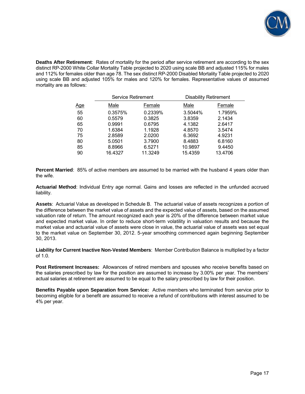

**Deaths After Retirement**: Rates of mortality for the period after service retirement are according to the sex distinct RP-2000 White Collar Mortality Table projected to 2020 using scale BB and adjusted 115% for males and 112% for females older than age 78. The sex distinct RP-2000 Disabled Mortality Table projected to 2020 using scale BB and adjusted 105% for males and 120% for females. Representative values of assumed mortality are as follows:

|            | Service Retirement |         | <b>Disability Retirement</b> |         |
|------------|--------------------|---------|------------------------------|---------|
| <u>Age</u> | Male               | Female  | Male                         | Female  |
| 55         | 0.3575%            | 0.2339% | 3.5044%                      | 1.7959% |
| 60         | 0.5579             | 0.3825  | 3.8359                       | 2.1434  |
| 65         | 0.9991             | 0.6795  | 4.1382                       | 2.6417  |
| 70         | 1.6384             | 1.1928  | 4.8570                       | 3.5474  |
| 75         | 2.8589             | 2.0200  | 6.3692                       | 4.9231  |
| 80         | 5.0501             | 3.7900  | 8.4883                       | 6.8160  |
| 85         | 8.8966             | 6.5271  | 10.9897                      | 9.4450  |
| 90         | 16.4327            | 11.3249 | 15.4359                      | 13.4706 |

**Percent Married**: 85% of active members are assumed to be married with the husband 4 years older than the wife.

**Actuarial Method**: Individual Entry age normal. Gains and losses are reflected in the unfunded accrued liability.

**Assets**: Actuarial Value as developed in Schedule B. The actuarial value of assets recognizes a portion of the difference between the market value of assets and the expected value of assets, based on the assumed valuation rate of return. The amount recognized each year is 20% of the difference between market value and expected market value. In order to reduce short-term volatility in valuation results and because the market value and actuarial value of assets were close in value, the actuarial value of assets was set equal to the market value on September 30, 2012. 5-year smoothing commenced again beginning September 30, 2013.

**Liability for Current Inactive Non-Vested Members**: Member Contribution Balance is multiplied by a factor of 1.0.

**Post Retirement Increases:** Allowances of retired members and spouses who receive benefits based on the salaries prescribed by law for the position are assumed to increase by 3.00% per year. The members' actual salaries at retirement are assumed to be equal to the salary prescribed by law for their position.

**Benefits Payable upon Separation from Service:** Active members who terminated from service prior to becoming eligible for a benefit are assumed to receive a refund of contributions with interest assumed to be 4% per year.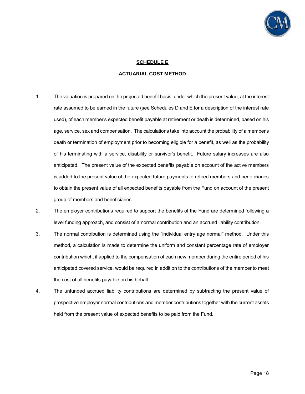

### **SCHEDULE E**

#### **ACTUARIAL COST METHOD**

- 1. The valuation is prepared on the projected benefit basis, under which the present value, at the interest rate assumed to be earned in the future (see Schedules D and E for a description of the interest rate used), of each member's expected benefit payable at retirement or death is determined, based on his age, service, sex and compensation. The calculations take into account the probability of a member's death or termination of employment prior to becoming eligible for a benefit, as well as the probability of his terminating with a service, disability or survivor's benefit. Future salary increases are also anticipated. The present value of the expected benefits payable on account of the active members is added to the present value of the expected future payments to retired members and beneficiaries to obtain the present value of all expected benefits payable from the Fund on account of the present group of members and beneficiaries.
- 2. The employer contributions required to support the benefits of the Fund are determined following a level funding approach, and consist of a normal contribution and an accrued liability contribution.
- 3. The normal contribution is determined using the "individual entry age normal" method. Under this method, a calculation is made to determine the uniform and constant percentage rate of employer contribution which, if applied to the compensation of each new member during the entire period of his anticipated covered service, would be required in addition to the contributions of the member to meet the cost of all benefits payable on his behalf.
- 4. The unfunded accrued liability contributions are determined by subtracting the present value of prospective employer normal contributions and member contributions together with the current assets held from the present value of expected benefits to be paid from the Fund.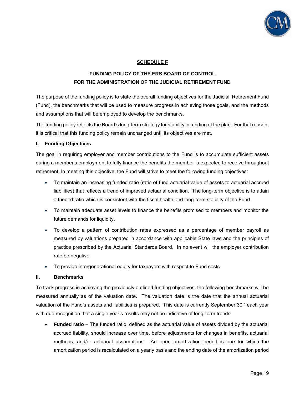

# **SCHEDULE F**

# **FUNDING POLICY OF THE ERS BOARD OF CONTROL FOR THE ADMINISTRATION OF THE JUDICIAL RETIREMENT FUND**

The purpose of the funding policy is to state the overall funding objectives for the Judicial Retirement Fund (Fund), the benchmarks that will be used to measure progress in achieving those goals, and the methods and assumptions that will be employed to develop the benchmarks.

The funding policy reflects the Board's long-term strategy for stability in funding of the plan. For that reason, it is critical that this funding policy remain unchanged until its objectives are met.

### **I. Funding Objectives**

The goal in requiring employer and member contributions to the Fund is to accumulate sufficient assets during a member's employment to fully finance the benefits the member is expected to receive throughout retirement. In meeting this objective, the Fund will strive to meet the following funding objectives:

- To maintain an increasing funded ratio (ratio of fund actuarial value of assets to actuarial accrued liabilities) that reflects a trend of improved actuarial condition. The long-term objective is to attain a funded ratio which is consistent with the fiscal health and long-term stability of the Fund.
- To maintain adequate asset levels to finance the benefits promised to members and monitor the future demands for liquidity.
- To develop a pattern of contribution rates expressed as a percentage of member payroll as measured by valuations prepared in accordance with applicable State laws and the principles of practice prescribed by the Actuarial Standards Board. In no event will the employer contribution rate be negative.
- To provide intergenerational equity for taxpayers with respect to Fund costs.

### **II. Benchmarks**

To track progress in achieving the previously outlined funding objectives, the following benchmarks will be measured annually as of the valuation date. The valuation date is the date that the annual actuarial valuation of the Fund's assets and liabilities is prepared. This date is currently September 30<sup>th</sup> each year with due recognition that a single year's results may not be indicative of long-term trends:

 **Funded ratio** – The funded ratio, defined as the actuarial value of assets divided by the actuarial accrued liability, should increase over time, before adjustments for changes in benefits, actuarial methods, and/or actuarial assumptions. An open amortization period is one for which the amortization period is recalculated on a yearly basis and the ending date of the amortization period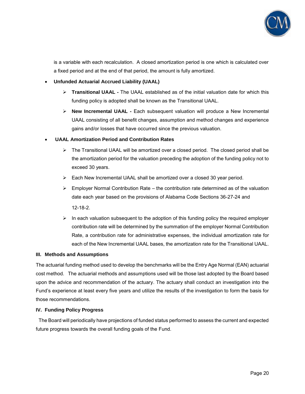

is a variable with each recalculation. A closed amortization period is one which is calculated over a fixed period and at the end of that period, the amount is fully amortized.

**Unfunded Actuarial Accrued Liability (UAAL)** 

- **Transitional UAAL -** The UAAL established as of the initial valuation date for which this funding policy is adopted shall be known as the Transitional UAAL.
- **New Incremental UAAL -** Each subsequent valuation will produce a New Incremental UAAL consisting of all benefit changes, assumption and method changes and experience gains and/or losses that have occurred since the previous valuation.

# **UAAL Amortization Period and Contribution Rates**

- $\triangleright$  The Transitional UAAL will be amortized over a closed period. The closed period shall be the amortization period for the valuation preceding the adoption of the funding policy not to exceed 30 years.
- Each New Incremental UAAL shall be amortized over a closed 30 year period.
- $\triangleright$  Employer Normal Contribution Rate the contribution rate determined as of the valuation date each year based on the provisions of Alabama Code Sections 36-27-24 and 12-18-2.
- $\triangleright$  In each valuation subsequent to the adoption of this funding policy the required employer contribution rate will be determined by the summation of the employer Normal Contribution Rate, a contribution rate for administrative expenses, the individual amortization rate for each of the New Incremental UAAL bases, the amortization rate for the Transitional UAAL.

### **III. Methods and Assumptions**

The actuarial funding method used to develop the benchmarks will be the Entry Age Normal (EAN) actuarial cost method. The actuarial methods and assumptions used will be those last adopted by the Board based upon the advice and recommendation of the actuary. The actuary shall conduct an investigation into the Fund's experience at least every five years and utilize the results of the investigation to form the basis for those recommendations.

### **IV. Funding Policy Progress**

 The Board will periodically have projections of funded status performed to assess the current and expected future progress towards the overall funding goals of the Fund.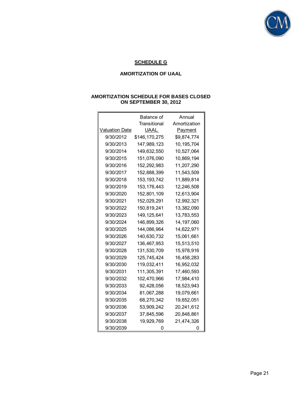

# **SCHEDULE G**

# **AMORTIZATION OF UAAL**

|                       | Balance of    | Annual       |
|-----------------------|---------------|--------------|
|                       | Transitional  | Amortization |
| <b>Valuation Date</b> | UAAL          | Payment      |
| 9/30/2012             | \$146,170,275 | \$9,874,774  |
| 9/30/2013             | 147,989,123   | 10,195,704   |
| 9/30/2014             | 149,632,550   | 10,527,064   |
| 9/30/2015             | 151,076,090   | 10,869,194   |
| 9/30/2016             | 152,292,983   | 11,207,290   |
| 9/30/2017             | 152,888,399   | 11,543,509   |
| 9/30/2018             | 153, 193, 742 | 11,889,814   |
| 9/30/2019             | 153, 176, 443 | 12,246,508   |
| 9/30/2020             | 152,801,109   | 12,613,904   |
| 9/30/2021             | 152,029,291   | 12,992,321   |
| 9/30/2022             | 150,819,241   | 13,382,090   |
| 9/30/2023             | 149, 125, 641 | 13,783,553   |
| 9/30/2024             | 146.899.326   | 14,197,060   |
| 9/30/2025             | 144,086,964   | 14,622,971   |
| 9/30/2026             | 140,630,732   | 15,061,661   |
| 9/30/2027             | 136,467,953   | 15,513,510   |
| 9/30/2028             | 131,530,709   | 15,978,916   |
| 9/30/2029             | 125,745,424   | 16,458,283   |
| 9/30/2030             | 119,032,411   | 16,952,032   |
| 9/30/2031             | 111,305,391   | 17,460,593   |
| 9/30/2032             | 102,470,966   | 17,984,410   |
| 9/30/2033             | 92,428,056    | 18,523,943   |
| 9/30/2034             | 81,067,288    | 19,079,661   |
| 9/30/2035             | 68,270,342    | 19,652,051   |
| 9/30/2036             | 53,909,242    | 20,241,612   |
| 9/30/2037             | 37,845,596    | 20,848,861   |
| 9/30/2038             | 19,929,769    | 21,474,326   |
| 9/30/2039             | 0             | 0            |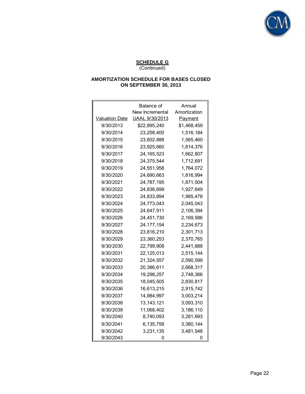

|                       | Balance of      | Annual       |
|-----------------------|-----------------|--------------|
|                       | New Incremental | Amortization |
| <b>Valuation Date</b> | UAAL 9/30/2013  | Payment      |
| 9/30/2013             | \$22,895,240    | \$1,468,459  |
| 9/30/2014             | 23,258,400      | 1,516,184    |
| 9/30/2015             | 23,602,888      | 1,565,460    |
| 9/30/2016             | 23.925.660      | 1,614,376    |
| 9/30/2017             | 24, 165, 523    | 1,662,807    |
| 9/30/2018             | 24,375,544      | 1,712,691    |
| 9/30/2019             | 24,551,958      | 1,764,072    |
| 9/30/2020             | 24,690,663      | 1,816,994    |
| 9/30/2021             | 24,787,195      | 1,871,504    |
| 9/30/2022             | 24,836,699      | 1,927,649    |
| 9/30/2023             | 24,833,894      | 1,985,478    |
| 9/30/2024             | 24,773,043      | 2,045,043    |
| 9/30/2025             | 24,647,911      | 2,106,394    |
| 9/30/2026             | 24,451,730      | 2,169,586    |
| 9/30/2027             | 24, 177, 154    | 2,234,673    |
| 9/30/2028             | 23,816,210      | 2,301,713    |
| 9/30/2029             | 23,360,253      | 2,370,765    |
| 9/30/2030             | 22,799,908      | 2,441,888    |
| 9/30/2031             | 22,125,013      | 2,515,144    |
| 9/30/2032             | 21,324,557      | 2,590,599    |
| 9/30/2033             | 20,386,611      | 2,668,317    |
| 9/30/2034             | 19,298,257      | 2,748,366    |
| 9/30/2035             | 18,045,505      | 2,830,817    |
| 9/30/2036             | 16,613,215      | 2,915,742    |
| 9/30/2037             | 14,984,997      | 3,003,214    |
| 9/30/2038             | 13, 143, 121    | 3,093,310    |
| 9/30/2039             | 11,068,402      | 3,186,110    |
| 9/30/2040             | 8,740,093       | 3,281,693    |
| 9/30/2041             | 6,135,758       | 3,380,144    |
| 9/30/2042             | 3,231,135       | 3,481,548    |
| 9/30/2043             |                 |              |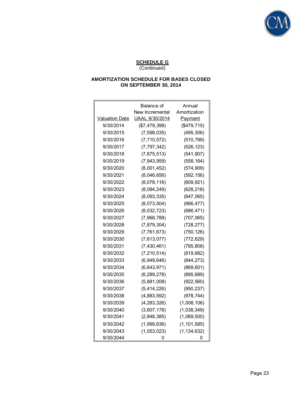

|                       | Balance of      | Annual         |
|-----------------------|-----------------|----------------|
|                       | New Incremental | Amortization   |
| <b>Valuation Date</b> | UAAL 9/30/2014  | <b>Payment</b> |
| 9/30/2014             | (\$7,479,398)   | (\$479,715)    |
| 9/30/2015             | (7, 598, 035)   | (495, 306)     |
| 9/30/2016             | (7, 710, 572)   | (510, 799)     |
| 9/30/2017             | (7, 797, 342)   | (526, 123)     |
| 9/30/2018             | (7,875,513)     | (541, 907)     |
| 9/30/2019             | (7,943,959)     | (558, 164)     |
| 9/30/2020             | (8,001,452)     | (574, 909)     |
| 9/30/2021             | (8,046,656)     | (592, 156)     |
| 9/30/2022             | (8,078,116)     | (609, 921)     |
| 9/30/2023             | (8,094,249)     | (628, 218)     |
| 9/30/2024             | (8,093,335)     | (647, 065)     |
| 9/30/2025             | (8,073,504)     | (666, 477)     |
| 9/30/2026             | (8,032,723)     | (686, 471)     |
| 9/30/2027             | (7,968,788)     | (707, 065)     |
| 9/30/2028             | (7,879,304)     | (728, 277)     |
| 9/30/2029             | (7, 761, 673)   | (750, 126)     |
| 9/30/2030             | (7,613,077)     | (772, 629)     |
| 9/30/2031             | (7, 430, 461)   | (795, 808)     |
| 9/30/2032             | (7, 210, 514)   | (819, 682)     |
| 9/30/2033             | (6,949,646)     | (844, 273)     |
| 9/30/2034             | (6,643,971)     | (869, 601)     |
| 9/30/2035             | (6, 289, 278)   | (895, 689)     |
| 9/30/2036             | (5,881,008)     | (922, 560)     |
| 9/30/2037             | (5,414,226)     | (950, 237)     |
| 9/30/2038             | (4,883,592)     | (978, 744)     |
| 9/30/2039             | (4, 283, 326)   | (1,008,106)    |
| 9/30/2040             | (3,607,178)     | (1,038,349)    |
| 9/30/2041             | (2,848,385)     | (1,069,500)    |
| 9/30/2042             | (1,999,636)     | (1, 101, 585)  |
| 9/30/2043             | (1,053,023)     | (1, 134, 632)  |
| 9/30/2044             |                 | Ω              |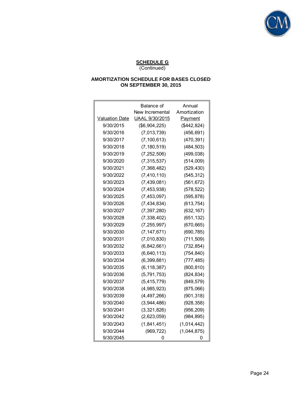

|                       | Balance of      | Annual       |
|-----------------------|-----------------|--------------|
|                       | New Incremental | Amortization |
| <b>Valuation Date</b> | UAAL 9/30/2015  | Payment      |
| 9/30/2015             | (\$6,904,225)   | (\$442,824)  |
| 9/30/2016             | (7,013,739)     | (456, 691)   |
| 9/30/2017             | (7, 100, 613)   | (470, 391)   |
| 9/30/2018             | (7, 180, 519)   | (484, 503)   |
| 9/30/2019             | (7, 252, 506)   | (499, 038)   |
| 9/30/2020             | (7, 315, 537)   | (514,009)    |
| 9/30/2021             | (7,368,482)     | (529, 430)   |
| 9/30/2022             | (7, 410, 110)   | (545, 312)   |
| 9/30/2023             | (7,439,081)     | (561, 672)   |
| 9/30/2024             | (7, 453, 938)   | (578, 522)   |
| 9/30/2025             | (7, 453, 097)   | (595, 878)   |
| 9/30/2026             | (7, 434, 834)   | (613, 754)   |
| 9/30/2027             | (7, 397, 280)   | (632, 167)   |
| 9/30/2028             | (7, 338, 402)   | (651, 132)   |
| 9/30/2029             | (7, 255, 997)   | (670, 665)   |
| 9/30/2030             | (7, 147, 671)   | (690, 785)   |
| 9/30/2031             | (7,010,830)     | (711, 509)   |
| 9/30/2032             | (6,842,661)     | (732, 854)   |
| 9/30/2033             | (6,640,113)     | (754, 840)   |
| 9/30/2034             | (6, 399, 881)   | (777, 485)   |
| 9/30/2035             | (6, 118, 387)   | (800, 810)   |
| 9/30/2036             | (5, 791, 753)   | (824, 834)   |
| 9/30/2037             | (5, 415, 779)   | (849, 579)   |
| 9/30/2038             | (4,985,923)     | (875,066)    |
| 9/30/2039             | (4, 497, 266)   | (901, 318)   |
| 9/30/2040             | (3,944,486)     | (928, 358)   |
| 9/30/2041             | (3,321,826)     | (956, 209)   |
| 9/30/2042             | (2,623,059)     | (984, 895)   |
| 9/30/2043             | (1,841,451)     | (1,014,442)  |
| 9/30/2044             | (969, 722)      | (1,044,875)  |
| 9/30/2045             |                 |              |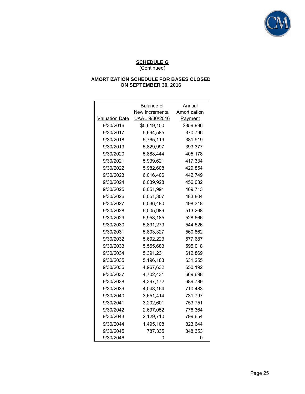

|                       | Balance of      | Annual       |
|-----------------------|-----------------|--------------|
|                       | New Incremental | Amortization |
| <b>Valuation Date</b> | UAAL 9/30/2016  | Payment      |
| 9/30/2016             | \$5.619.100     | \$359,996    |
| 9/30/2017             | 5,694,585       | 370,796      |
| 9/30/2018             | 5,765,119       | 381,919      |
| 9/30/2019             | 5,829,997       | 393,377      |
| 9/30/2020             | 5,888,444       | 405,178      |
| 9/30/2021             | 5,939,621       | 417,334      |
| 9/30/2022             | 5,982,608       | 429,854      |
| 9/30/2023             | 6,016,406       | 442,749      |
| 9/30/2024             | 6,039,928       | 456,032      |
| 9/30/2025             | 6,051,991       | 469,713      |
| 9/30/2026             | 6,051,307       | 483,804      |
| 9/30/2027             | 6,036,480       | 498,318      |
| 9/30/2028             | 6,005,989       | 513,268      |
| 9/30/2029             | 5,958,185       | 528.666      |
| 9/30/2030             | 5,891,279       | 544,526      |
| 9/30/2031             | 5,803,327       | 560,862      |
| 9/30/2032             | 5,692,223       | 577,687      |
| 9/30/2033             | 5,555,683       | 595,018      |
| 9/30/2034             | 5,391,231       | 612,869      |
| 9/30/2035             | 5,196,183       | 631,255      |
| 9/30/2036             | 4,967,632       | 650,192      |
| 9/30/2037             | 4,702,431       | 669,698      |
| 9/30/2038             | 4,397,172       | 689,789      |
| 9/30/2039             | 4,048,164       | 710,483      |
| 9/30/2040             | 3,651,414       | 731,797      |
| 9/30/2041             | 3,202,601       | 753,751      |
| 9/30/2042             | 2,697,052       | 776,364      |
| 9/30/2043             | 2,129,710       | 799,654      |
| 9/30/2044             | 1,495,108       | 823,644      |
| 9/30/2045             | 787,335         | 848,353      |
| 9/30/2046             | 0               | Ω            |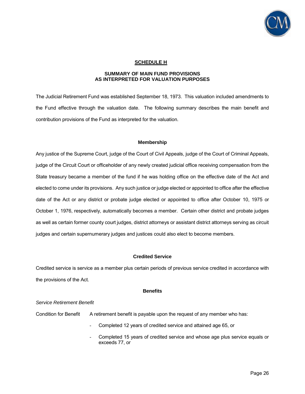

## **SCHEDULE H**

#### **SUMMARY OF MAIN FUND PROVISIONS AS INTERPRETED FOR VALUATION PURPOSES**

The Judicial Retirement Fund was established September 18, 1973. This valuation included amendments to the Fund effective through the valuation date. The following summary describes the main benefit and contribution provisions of the Fund as interpreted for the valuation.

#### **Membership**

Any justice of the Supreme Court, judge of the Court of Civil Appeals, judge of the Court of Criminal Appeals, judge of the Circuit Court or officeholder of any newly created judicial office receiving compensation from the State treasury became a member of the fund if he was holding office on the effective date of the Act and elected to come under its provisions. Any such justice or judge elected or appointed to office after the effective date of the Act or any district or probate judge elected or appointed to office after October 10, 1975 or October 1, 1976, respectively, automatically becomes a member. Certain other district and probate judges as well as certain former county court judges, district attorneys or assistant district attorneys serving as circuit judges and certain supernumerary judges and justices could also elect to become members.

#### **Credited Service**

Credited service is service as a member plus certain periods of previous service credited in accordance with the provisions of the Act.

#### **Benefits**

#### *Service Retirement Benefit*

Condition for Benefit A retirement benefit is payable upon the request of any member who has:

- Completed 12 years of credited service and attained age 65, or
- Completed 15 years of credited service and whose age plus service equals or exceeds 77, or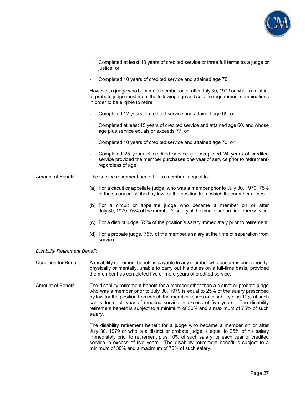

- Completed at least 18 years of credited service or three full terms as a judge or justice, or
- Completed 10 years of credited service and attained age 70

However, a judge who became a member on or after July 30, 1979 or who is a district or probate judge must meet the following age and service requirement combinations in order to be eligible to retire:

- Completed 12 years of credited service and attained age 65, or
- Completed at least 15 years of credited service and attained age 60, and whose age plus service equals or exceeds 77, or
- Completed 10 years of credited service and attained age 70, or
- Completed 25 years of credited service (or completed 24 years of credited service provided the member purchases one year of service prior to retirement) regardless of age

Amount of Benefit The service retirement benefit for a member is equal to:

- (a) For a circuit or appellate judge, who was a member prior to July 30, 1979, 75% of the salary prescribed by law for the position from which the member retires.
- (b) For a circuit or appellate judge who became a member on or after July 30, 1979, 75% of the member's salary at the time of separation from service.
- (c) For a district judge, 75% of the position's salary immediately prior to retirement.
- (d) For a probate judge, 75% of the member's salary at the time of separation from service.

#### *Disability Retirement Benefit*

- Condition for Benefit A disability retirement benefit is payable to any member who becomes permanently, physically or mentally, unable to carry out his duties on a full-time basis, provided the member has completed five or more years of credited service.
- Amount of Benefit The disability retirement benefit for a member other than a district or probate judge who was a member prior to July 30, 1979 is equal to 25% of the salary prescribed by law for the position from which the member retires on disability plus 10% of such salary for each year of credited service in excess of five years. The disability retirement benefit is subject to a minimum of 30% and a maximum of 75% of such salary.

The disability retirement benefit for a judge who became a member on or after July 30, 1979 or who is a district or probate judge is equal to 25% of his salary immediately prior to retirement plus 10% of such salary for each year of credited service in excess of five years. The disability retirement benefit is subject to a minimum of 30% and a maximum of 75% of such salary.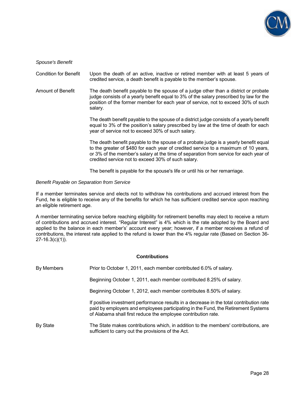

*Spouse's Benefit* 

Condition for Benefit Upon the death of an active, inactive or retired member with at least 5 years of credited service, a death benefit is payable to the member's spouse.

Amount of Benefit The death benefit payable to the spouse of a judge other than a district or probate judge consists of a yearly benefit equal to 3% of the salary prescribed by law for the position of the former member for each year of service, not to exceed 30% of such salary.

> The death benefit payable to the spouse of a district judge consists of a yearly benefit equal to 3% of the position's salary prescribed by law at the time of death for each year of service not to exceed 30% of such salary.

> The death benefit payable to the spouse of a probate judge is a yearly benefit equal to the greater of \$480 for each year of credited service to a maximum of 10 years, or 3% of the member's salary at the time of separation from service for each year of credited service not to exceed 30% of such salary.

The benefit is payable for the spouse's life or until his or her remarriage.

#### *Benefit Payable on Separation from Service*

If a member terminates service and elects not to withdraw his contributions and accrued interest from the Fund, he is eligible to receive any of the benefits for which he has sufficient credited service upon reaching an eligible retirement age.

A member terminating service before reaching eligibility for retirement benefits may elect to receive a return of contributions and accrued interest. "Regular Interest" is 4% which is the rate adopted by the Board and applied to the balance in each member's' account every year; however, if a member receives a refund of contributions, the interest rate applied to the refund is lower than the 4% regular rate (Based on Section 36- 27-16.3(c)(1)).

#### **Contributions**

By Members Prior to October 1, 2011, each member contributed 6.0% of salary.

Beginning October 1, 2011, each member contributed 8.25% of salary.

Beginning October 1, 2012, each member contributes 8.50% of salary.

 If positive investment performance results in a decrease in the total contribution rate paid by employers and employees participating in the Fund, the Retirement Systems of Alabama shall first reduce the employee contribution rate.

By State The State makes contributions which, in addition to the members' contributions, are sufficient to carry out the provisions of the Act.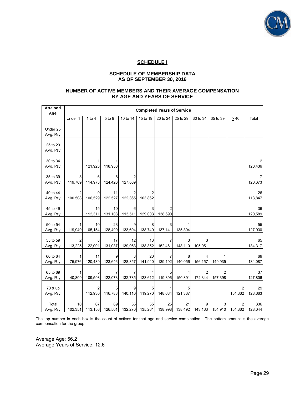

## **SCHEDULE I**

#### **SCHEDULE OF MEMBERSHIP DATA AS OF SEPTEMBER 30, 2016**

#### **NUMBER OF ACTIVE MEMBERS AND THEIR AVERAGE COMPENSATION BY AGE AND YEARS OF SERVICE**

| <b>Attained</b><br>Age | <b>Completed Years of Service</b> |               |                       |                           |                       |                           |              |                              |              |              |                |
|------------------------|-----------------------------------|---------------|-----------------------|---------------------------|-----------------------|---------------------------|--------------|------------------------------|--------------|--------------|----------------|
|                        | Under 1                           | 1 to $4$      | 5 to 9                | 10 to $14$                | 15 to 19              | 20 to 24                  | 25 to 29     | 30 to 34                     | 35 to 39     | $\geq 40$    | Total          |
| Under 25<br>Avg. Pay   |                                   |               |                       |                           |                       |                           |              |                              |              |              |                |
| 25 to 29<br>Avg. Pay   |                                   |               |                       |                           |                       |                           |              |                              |              |              |                |
| 30 to 34<br>Avg. Pay   |                                   | 1<br>121,923  | 118,950               |                           |                       |                           |              |                              |              |              | 120,436        |
| 35 to 39<br>Avg. Pay   | 3<br>119,769                      | 6<br>114,973  | 6<br>124,426          | $\overline{2}$<br>127,869 |                       |                           |              |                              |              |              | 17<br>120,673  |
| 40 to 44<br>Avg. Pay   | 2<br>100,508                      | 9<br>106,529  | 11<br>122,527         | 2<br>122,365              | 2<br>103,862          |                           |              |                              |              |              | 26<br>113,847  |
| 45 to 49<br>Avg. Pay   |                                   | 15<br>112,311 | 10<br>131,108         | 6<br>113,511              | 3<br>129,003          | 2<br>138,690              |              |                              |              |              | 36<br>120,589  |
| 50 to 54<br>Avg. Pay   | 119,949                           | 10<br>105,154 | 23<br>128,490         | 9<br>133,694              | 8<br>138,740          | 3<br>137,141              | 135,304      |                              |              |              | 55<br>127,030  |
| 55 to 59<br>Avg. Pay   | 113,225                           | 8<br>122,001  | 17<br>131,037         | 12<br>139,063             | 13<br>138,852         | 7<br>152,461              | 3<br>148,110 | 3<br>105,051                 |              |              | 65<br>134,317  |
| 60 to 64<br>Avg. Pay   | 1<br>75,976                       | 11<br>120,439 | 9<br>123,646          | 8<br>128,857              | 20<br>141,940         | $\overline{7}$<br>139,102 | 8<br>140,056 | 4<br>156,157                 | 149,935      |              | 69<br>134,087  |
| 65 to 69<br>Avg. Pay   | 1<br>40,809                       | 5<br>109,598  | 122,073               | 7<br>132,785              | 123,612               | 5<br>119,306              | 4<br>150,391 | 2<br>174,344                 | 2<br>157,398 |              | 37<br>127,806  |
| 70 & up<br>Avg. Pay    |                                   | 2<br>112,930  | 5<br>116,788          | 9<br>140,110              | 5<br>119,270          | 1<br>148,684              | 5<br>121,337 |                              |              | 2<br>154,362 | 29<br>128,663  |
| Total<br>Avg. Pay      | 10<br>102,351                     | 67            | 89<br>113,156 126,501 | 55                        | 55<br>132,270 135,261 | 25<br>138,998             | 21           | 9<br>138,492 143,163 154,910 | 3            | 154,362      | 336<br>128,044 |

The top number in each box is the count of actives for that age and service combination. The bottom amount is the average compensation for the group.

Average Age: 56.2 Average Years of Service: 12.6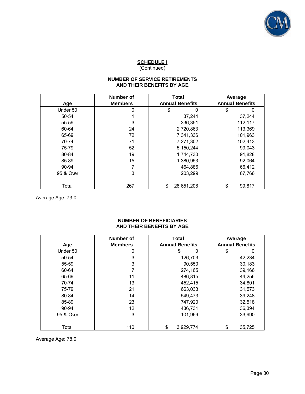

## **SCHEDULE I**

(Continued)

## **NUMBER OF SERVICE RETIREMENTS AND THEIR BENEFITS BY AGE**

| AND THEIR BENEFITS BY AGE |                                    |                                 |                                   |  |  |  |
|---------------------------|------------------------------------|---------------------------------|-----------------------------------|--|--|--|
| Age                       | <b>Number of</b><br><b>Members</b> | Total<br><b>Annual Benefits</b> | Average<br><b>Annual Benefits</b> |  |  |  |
| Under 50                  | 0                                  | 0<br>\$                         | \$<br>0                           |  |  |  |
| 50-54                     |                                    | 37,244                          | 37,244                            |  |  |  |
| 55-59                     | 3                                  | 336,351                         | 112,117                           |  |  |  |
| 60-64                     | 24                                 | 2,720,863                       | 113,369                           |  |  |  |
| 65-69                     | 72                                 | 7,341,336                       | 101,963                           |  |  |  |
| 70-74                     | 71                                 | 7,271,302                       | 102,413                           |  |  |  |
| 75-79                     | 52                                 | 5, 150, 244                     | 99,043                            |  |  |  |
| 80-84                     | 19                                 | 1,744,730                       | 91,828                            |  |  |  |
| 85-89                     | 15                                 | 1,380,953                       | 92,064                            |  |  |  |
| 90-94                     |                                    | 464,886                         | 66,412                            |  |  |  |
| 95 & Over                 | 3                                  | 203,299                         | 67,766                            |  |  |  |
| Total                     | 267                                | \$<br>26,651,208                | \$<br>99,817                      |  |  |  |

Average Age: 73.0

#### **NUMBER OF BENEFICIARIES AND THEIR BENEFITS BY AGE**

| AND THEIR BENEFITS BY AGE |                             |                                        |                                   |  |  |
|---------------------------|-----------------------------|----------------------------------------|-----------------------------------|--|--|
| Age                       | Number of<br><b>Members</b> | <b>Total</b><br><b>Annual Benefits</b> | Average<br><b>Annual Benefits</b> |  |  |
| Under 50                  | 0                           | \$<br>0                                | \$<br>0                           |  |  |
| 50-54                     | 3                           | 126,703                                | 42,234                            |  |  |
| 55-59                     | 3                           | 90,550                                 | 30,183                            |  |  |
| 60-64                     |                             | 274,165                                | 39,166                            |  |  |
| 65-69                     | 11                          | 486,815                                | 44,256                            |  |  |
| 70-74                     | 13                          | 452,415                                | 34,801                            |  |  |
| 75-79                     | 21                          | 663,033                                | 31,573                            |  |  |
| 80-84                     | 14                          | 549,473                                | 39,248                            |  |  |
| 85-89                     | 23                          | 747,920                                | 32,518                            |  |  |
| 90-94                     | 12                          | 436,731                                | 36,394                            |  |  |
| 95 & Over                 | 3                           | 101,969                                | 33,990                            |  |  |
| Total                     | 110                         | \$<br>3,929,774                        | 35,725<br>\$                      |  |  |

Average Age: 78.0